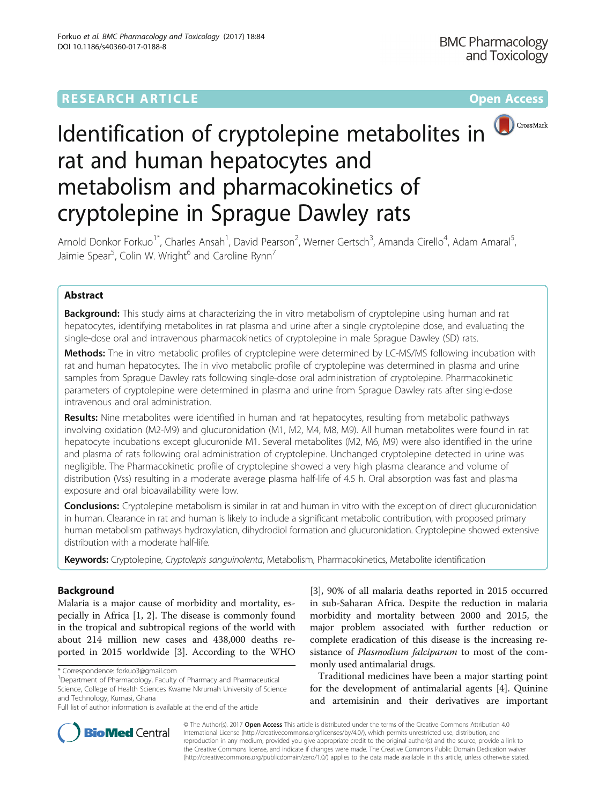

# Identification of cryptolepine metabolites in rat and human hepatocytes and metabolism and pharmacokinetics of cryptolepine in Sprague Dawley rats

Arnold Donkor Forkuo<sup>1\*</sup>, Charles Ansah<sup>1</sup>, David Pearson<sup>2</sup>, Werner Gertsch<sup>3</sup>, Amanda Cirello<sup>4</sup>, Adam Amaral<sup>5</sup> , Jaimie Spear<sup>5</sup>, Colin W. Wright<sup>6</sup> and Caroline Rynn<sup>7</sup>

# Abstract

**Background:** This study aims at characterizing the in vitro metabolism of cryptolepine using human and rat hepatocytes, identifying metabolites in rat plasma and urine after a single cryptolepine dose, and evaluating the single-dose oral and intravenous pharmacokinetics of cryptolepine in male Sprague Dawley (SD) rats.

Methods: The in vitro metabolic profiles of cryptolepine were determined by LC-MS/MS following incubation with rat and human hepatocytes. The in vivo metabolic profile of cryptolepine was determined in plasma and urine samples from Sprague Dawley rats following single-dose oral administration of cryptolepine. Pharmacokinetic parameters of cryptolepine were determined in plasma and urine from Sprague Dawley rats after single-dose intravenous and oral administration.

Results: Nine metabolites were identified in human and rat hepatocytes, resulting from metabolic pathways involving oxidation (M2-M9) and glucuronidation (M1, M2, M4, M8, M9). All human metabolites were found in rat hepatocyte incubations except glucuronide M1. Several metabolites (M2, M6, M9) were also identified in the urine and plasma of rats following oral administration of cryptolepine. Unchanged cryptolepine detected in urine was negligible. The Pharmacokinetic profile of cryptolepine showed a very high plasma clearance and volume of distribution (Vss) resulting in a moderate average plasma half-life of 4.5 h. Oral absorption was fast and plasma exposure and oral bioavailability were low.

**Conclusions:** Cryptolepine metabolism is similar in rat and human in vitro with the exception of direct glucuronidation in human. Clearance in rat and human is likely to include a significant metabolic contribution, with proposed primary human metabolism pathways hydroxylation, dihydrodiol formation and glucuronidation. Cryptolepine showed extensive distribution with a moderate half-life.

Keywords: Cryptolepine, Cryptolepis sanguinolenta, Metabolism, Pharmacokinetics, Metabolite identification

# Background

Malaria is a major cause of morbidity and mortality, especially in Africa [[1, 2](#page-7-0)]. The disease is commonly found in the tropical and subtropical regions of the world with about 214 million new cases and 438,000 deaths reported in 2015 worldwide [\[3](#page-7-0)]. According to the WHO

<sup>1</sup>Department of Pharmacology, Faculty of Pharmacy and Pharmaceutical Science, College of Health Sciences Kwame Nkrumah University of Science and Technology, Kumasi, Ghana

[[3\]](#page-7-0), 90% of all malaria deaths reported in 2015 occurred in sub-Saharan Africa. Despite the reduction in malaria morbidity and mortality between 2000 and 2015, the major problem associated with further reduction or complete eradication of this disease is the increasing resistance of Plasmodium falciparum to most of the commonly used antimalarial drugs.

Traditional medicines have been a major starting point for the development of antimalarial agents [\[4\]](#page-8-0). Quinine and artemisinin and their derivatives are important



© The Author(s). 2017 **Open Access** This article is distributed under the terms of the Creative Commons Attribution 4.0 International License [\(http://creativecommons.org/licenses/by/4.0/](http://creativecommons.org/licenses/by/4.0/)), which permits unrestricted use, distribution, and reproduction in any medium, provided you give appropriate credit to the original author(s) and the source, provide a link to the Creative Commons license, and indicate if changes were made. The Creative Commons Public Domain Dedication waiver [\(http://creativecommons.org/publicdomain/zero/1.0/](http://creativecommons.org/publicdomain/zero/1.0/)) applies to the data made available in this article, unless otherwise stated.

<sup>\*</sup> Correspondence: [forkuo3@gmail.com](mailto:forkuo3@gmail.com) <sup>1</sup>

Full list of author information is available at the end of the article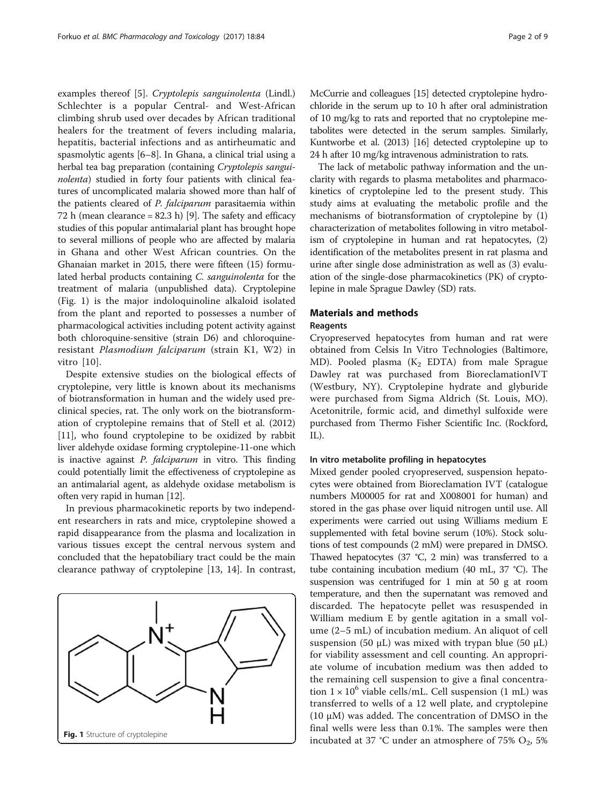examples thereof [\[5\]](#page-8-0). Cryptolepis sanguinolenta (Lindl.) Schlechter is a popular Central- and West-African climbing shrub used over decades by African traditional healers for the treatment of fevers including malaria, hepatitis, bacterial infections and as antirheumatic and spasmolytic agents [[6](#page-8-0)–[8](#page-8-0)]. In Ghana, a clinical trial using a herbal tea bag preparation (containing Cryptolepis sanguinolenta) studied in forty four patients with clinical features of uncomplicated malaria showed more than half of the patients cleared of P. falciparum parasitaemia within 72 h (mean clearance =  $82.3$  h) [\[9\]](#page-8-0). The safety and efficacy studies of this popular antimalarial plant has brought hope to several millions of people who are affected by malaria in Ghana and other West African countries. On the Ghanaian market in 2015, there were fifteen (15) formulated herbal products containing C. sanguinolenta for the treatment of malaria (unpublished data). Cryptolepine (Fig. 1) is the major indoloquinoline alkaloid isolated from the plant and reported to possesses a number of pharmacological activities including potent activity against both chloroquine-sensitive (strain D6) and chloroquineresistant Plasmodium falciparum (strain K1, W2) in vitro [[10](#page-8-0)].

Despite extensive studies on the biological effects of cryptolepine, very little is known about its mechanisms of biotransformation in human and the widely used preclinical species, rat. The only work on the biotransformation of cryptolepine remains that of Stell et al. (2012) [[11\]](#page-8-0), who found cryptolepine to be oxidized by rabbit liver aldehyde oxidase forming cryptolepine-11-one which is inactive against P. falciparum in vitro. This finding could potentially limit the effectiveness of cryptolepine as an antimalarial agent, as aldehyde oxidase metabolism is often very rapid in human [[12](#page-8-0)].

In previous pharmacokinetic reports by two independent researchers in rats and mice, cryptolepine showed a rapid disappearance from the plasma and localization in various tissues except the central nervous system and concluded that the hepatobiliary tract could be the main clearance pathway of cryptolepine [[13, 14\]](#page-8-0). In contrast,



McCurrie and colleagues [\[15\]](#page-8-0) detected cryptolepine hydrochloride in the serum up to 10 h after oral administration of 10 mg/kg to rats and reported that no cryptolepine metabolites were detected in the serum samples. Similarly, Kuntworbe et al. (2013) [\[16\]](#page-8-0) detected cryptolepine up to 24 h after 10 mg/kg intravenous administration to rats.

The lack of metabolic pathway information and the unclarity with regards to plasma metabolites and pharmacokinetics of cryptolepine led to the present study. This study aims at evaluating the metabolic profile and the mechanisms of biotransformation of cryptolepine by (1) characterization of metabolites following in vitro metabolism of cryptolepine in human and rat hepatocytes, (2) identification of the metabolites present in rat plasma and urine after single dose administration as well as (3) evaluation of the single-dose pharmacokinetics (PK) of cryptolepine in male Sprague Dawley (SD) rats.

# Materials and methods

### Reagents

Cryopreserved hepatocytes from human and rat were obtained from Celsis In Vitro Technologies (Baltimore, MD). Pooled plasma  $(K_2$  EDTA) from male Sprague Dawley rat was purchased from BioreclamationIVT (Westbury, NY). Cryptolepine hydrate and glyburide were purchased from Sigma Aldrich (St. Louis, MO). Acetonitrile, formic acid, and dimethyl sulfoxide were purchased from Thermo Fisher Scientific Inc. (Rockford, IL).

#### In vitro metabolite profiling in hepatocytes

Mixed gender pooled cryopreserved, suspension hepatocytes were obtained from Bioreclamation IVT (catalogue numbers M00005 for rat and X008001 for human) and stored in the gas phase over liquid nitrogen until use. All experiments were carried out using Williams medium E supplemented with fetal bovine serum (10%). Stock solutions of test compounds (2 mM) were prepared in DMSO. Thawed hepatocytes  $(37 \text{ °C}, 2 \text{ min})$  was transferred to a tube containing incubation medium (40 mL, 37 °C). The suspension was centrifuged for 1 min at 50 g at room temperature, and then the supernatant was removed and discarded. The hepatocyte pellet was resuspended in William medium E by gentle agitation in a small volume (2–5 mL) of incubation medium. An aliquot of cell suspension (50  $\mu$ L) was mixed with trypan blue (50  $\mu$ L) for viability assessment and cell counting. An appropriate volume of incubation medium was then added to the remaining cell suspension to give a final concentration  $1 \times 10^6$  viable cells/mL. Cell suspension (1 mL) was transferred to wells of a 12 well plate, and cryptolepine (10 μM) was added. The concentration of DMSO in the final wells were less than 0.1%. The samples were then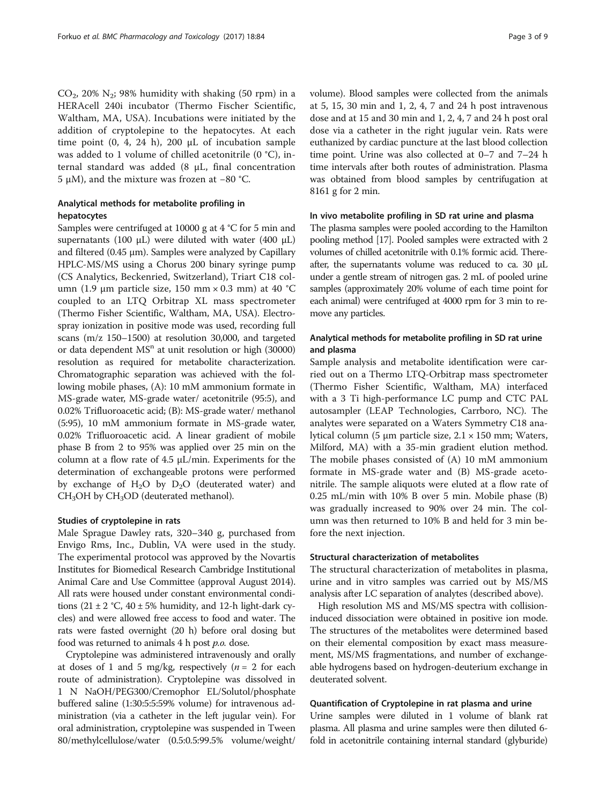$CO<sub>2</sub>$ , 20% N<sub>2</sub>; 98% humidity with shaking (50 rpm) in a HERAcell 240i incubator (Thermo Fischer Scientific, Waltham, MA, USA). Incubations were initiated by the addition of cryptolepine to the hepatocytes. At each time point (0, 4, 24 h), 200 μL of incubation sample was added to 1 volume of chilled acetonitrile (0 °C), internal standard was added (8 μL, final concentration 5 μM), and the mixture was frozen at −80 °C.

# Analytical methods for metabolite profiling in hepatocytes

Samples were centrifuged at 10000 g at 4 °C for 5 min and supernatants (100  $\mu$ L) were diluted with water (400  $\mu$ L) and filtered (0.45 μm). Samples were analyzed by Capillary HPLC-MS/MS using a Chorus 200 binary syringe pump (CS Analytics, Beckenried, Switzerland), Triart C18 column (1.9 μm particle size, 150 mm × 0.3 mm) at 40 °C coupled to an LTQ Orbitrap XL mass spectrometer (Thermo Fisher Scientific, Waltham, MA, USA). Electrospray ionization in positive mode was used, recording full scans (m/z 150–1500) at resolution 30,000, and targeted or data dependent  $MS<sup>n</sup>$  at unit resolution or high (30000) resolution as required for metabolite characterization. Chromatographic separation was achieved with the following mobile phases, (A): 10 mM ammonium formate in MS-grade water, MS-grade water/ acetonitrile (95:5), and 0.02% Trifluoroacetic acid; (B): MS-grade water/ methanol (5:95), 10 mM ammonium formate in MS-grade water, 0.02% Trifluoroacetic acid. A linear gradient of mobile phase B from 2 to 95% was applied over 25 min on the column at a flow rate of  $4.5 \mu L/min$ . Experiments for the determination of exchangeable protons were performed by exchange of  $H_2O$  by  $D_2O$  (deuterated water) and  $CH<sub>3</sub>OH$  by  $CH<sub>3</sub>OD$  (deuterated methanol).

# Studies of cryptolepine in rats

Male Sprague Dawley rats, 320–340 g, purchased from Envigo Rms, Inc., Dublin, VA were used in the study. The experimental protocol was approved by the Novartis Institutes for Biomedical Research Cambridge Institutional Animal Care and Use Committee (approval August 2014). All rats were housed under constant environmental conditions  $(21 \pm 2 \degree C, 40 \pm 5\%$  humidity, and 12-h light-dark cycles) and were allowed free access to food and water. The rats were fasted overnight (20 h) before oral dosing but food was returned to animals 4 h post p.o. dose.

Cryptolepine was administered intravenously and orally at doses of 1 and 5 mg/kg, respectively ( $n = 2$  for each route of administration). Cryptolepine was dissolved in 1 N NaOH/PEG300/Cremophor EL/Solutol/phosphate buffered saline (1:30:5:5:59% volume) for intravenous administration (via a catheter in the left jugular vein). For oral administration, cryptolepine was suspended in Tween 80/methylcellulose/water (0.5:0.5:99.5% volume/weight/ volume). Blood samples were collected from the animals at 5, 15, 30 min and 1, 2, 4, 7 and 24 h post intravenous dose and at 15 and 30 min and 1, 2, 4, 7 and 24 h post oral dose via a catheter in the right jugular vein. Rats were euthanized by cardiac puncture at the last blood collection time point. Urine was also collected at 0–7 and 7–24 h time intervals after both routes of administration. Plasma was obtained from blood samples by centrifugation at 8161 g for 2 min.

#### In vivo metabolite profiling in SD rat urine and plasma

The plasma samples were pooled according to the Hamilton pooling method [\[17](#page-8-0)]. Pooled samples were extracted with 2 volumes of chilled acetonitrile with 0.1% formic acid. Thereafter, the supernatants volume was reduced to ca. 30 μL under a gentle stream of nitrogen gas. 2 mL of pooled urine samples (approximately 20% volume of each time point for each animal) were centrifuged at 4000 rpm for 3 min to remove any particles.

# Analytical methods for metabolite profiling in SD rat urine and plasma

Sample analysis and metabolite identification were carried out on a Thermo LTQ-Orbitrap mass spectrometer (Thermo Fisher Scientific, Waltham, MA) interfaced with a 3 Ti high-performance LC pump and CTC PAL autosampler (LEAP Technologies, Carrboro, NC). The analytes were separated on a Waters Symmetry C18 analytical column (5 μm particle size, 2.1 × 150 mm; Waters, Milford, MA) with a 35-min gradient elution method. The mobile phases consisted of (A) 10 mM ammonium formate in MS-grade water and (B) MS-grade acetonitrile. The sample aliquots were eluted at a flow rate of 0.25 mL/min with 10% B over 5 min. Mobile phase (B) was gradually increased to 90% over 24 min. The column was then returned to 10% B and held for 3 min before the next injection.

#### Structural characterization of metabolites

The structural characterization of metabolites in plasma, urine and in vitro samples was carried out by MS/MS analysis after LC separation of analytes (described above).

High resolution MS and MS/MS spectra with collisioninduced dissociation were obtained in positive ion mode. The structures of the metabolites were determined based on their elemental composition by exact mass measurement, MS/MS fragmentations, and number of exchangeable hydrogens based on hydrogen-deuterium exchange in deuterated solvent.

#### Quantification of Cryptolepine in rat plasma and urine

Urine samples were diluted in 1 volume of blank rat plasma. All plasma and urine samples were then diluted 6 fold in acetonitrile containing internal standard (glyburide)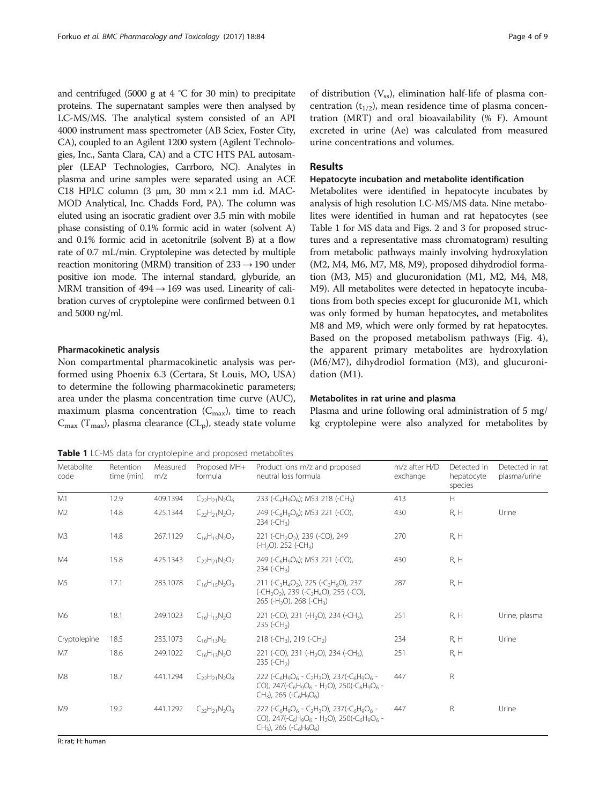and centrifuged (5000 g at 4 °C for 30 min) to precipitate proteins. The supernatant samples were then analysed by LC-MS/MS. The analytical system consisted of an API 4000 instrument mass spectrometer (AB Sciex, Foster City, CA), coupled to an Agilent 1200 system (Agilent Technologies, Inc., Santa Clara, CA) and a CTC HTS PAL autosampler (LEAP Technologies, Carrboro, NC). Analytes in plasma and urine samples were separated using an ACE C18 HPLC column  $(3 \mu m, 30 \mu m \times 2.1 \mu m)$  i.d. MAC-MOD Analytical, Inc. Chadds Ford, PA). The column was eluted using an isocratic gradient over 3.5 min with mobile phase consisting of 0.1% formic acid in water (solvent A) and 0.1% formic acid in acetonitrile (solvent B) at a flow rate of 0.7 mL/min. Cryptolepine was detected by multiple reaction monitoring (MRM) transition of  $233 \rightarrow 190$  under positive ion mode. The internal standard, glyburide, an MRM transition of  $494 \rightarrow 169$  was used. Linearity of calibration curves of cryptolepine were confirmed between 0.1 and 5000 ng/ml.

### Pharmacokinetic analysis

Non compartmental pharmacokinetic analysis was performed using Phoenix 6.3 (Certara, St Louis, MO, USA) to determine the following pharmacokinetic parameters; area under the plasma concentration time curve (AUC), maximum plasma concentration  $(C_{\text{max}})$ , time to reach  $C_{\text{max}}$  (T<sub>max</sub>), plasma clearance (CL<sub>p</sub>), steady state volume

Table 1 LC-MS data for cryptolepine and proposed metabolites

of distribution  $(V_{ss})$ , elimination half-life of plasma concentration  $(t_{1/2})$ , mean residence time of plasma concentration (MRT) and oral bioavailability (% F). Amount excreted in urine (Ae) was calculated from measured urine concentrations and volumes.

# Results

#### Hepatocyte incubation and metabolite identification

Metabolites were identified in hepatocyte incubates by analysis of high resolution LC-MS/MS data. Nine metabolites were identified in human and rat hepatocytes (see Table 1 for MS data and Figs. [2](#page-4-0) and [3](#page-4-0) for proposed structures and a representative mass chromatogram) resulting from metabolic pathways mainly involving hydroxylation (M2, M4, M6, M7, M8, M9), proposed dihydrodiol formation (M3, M5) and glucuronidation (M1, M2, M4, M8, M9). All metabolites were detected in hepatocyte incubations from both species except for glucuronide M1, which was only formed by human hepatocytes, and metabolites M8 and M9, which were only formed by rat hepatocytes. Based on the proposed metabolism pathways (Fig. [4](#page-5-0)), the apparent primary metabolites are hydroxylation (M6/M7), dihydrodiol formation (M3), and glucuronidation (M1).

# Metabolites in rat urine and plasma

Plasma and urine following oral administration of 5 mg/ kg cryptolepine were also analyzed for metabolites by

| Metabolite<br>code | Retention<br>time (min) | Measured<br>m/z | Proposed MH+<br>formula  | Product ions m/z and proposed<br>neutral loss formula                                                                                                                                                                                                                                                           | m/z after H/D<br>exchange | Detected in<br>hepatocyte<br>species | Detected in rat<br>plasma/urine |
|--------------------|-------------------------|-----------------|--------------------------|-----------------------------------------------------------------------------------------------------------------------------------------------------------------------------------------------------------------------------------------------------------------------------------------------------------------|---------------------------|--------------------------------------|---------------------------------|
| M1                 | 12.9                    | 409.1394        | $C_{22}H_{21}N_{2}O_{6}$ | 233 (- $C_6H_9O_6$ ); MS3 218 (-CH <sub>3</sub> )                                                                                                                                                                                                                                                               | 413                       | H                                    |                                 |
| M <sub>2</sub>     | 14.8                    | 425.1344        | $C_{22}H_{21}N_2O_7$     | 249 (- $C_6H_9O_6$ ); MS3 221 (-CO),<br>234 $(-CH3)$                                                                                                                                                                                                                                                            | 430                       | R, H                                 | Urine                           |
| M <sub>3</sub>     | 14.8                    | 267.1129        | $C_{16}H_{15}N_2O_2$     | 221 (-CH <sub>2</sub> O <sub>2</sub> ), 239 (-CO), 249<br>$(-H2O)$ , 252 $(-CH3)$                                                                                                                                                                                                                               | 270                       | R, H                                 |                                 |
| M4                 | 15.8                    | 425.1343        | $C_{22}H_{21}N_2O_7$     | 249 ( $-C_6H_9O_6$ ); MS3 221 ( $-CO$ ),<br>234 $(-CH3)$                                                                                                                                                                                                                                                        | 430                       | R, H                                 |                                 |
| M <sub>5</sub>     | 17.1                    | 283.1078        | $C_{16}H_{15}N_2O_3$     | 211 (-C <sub>3</sub> H <sub>4</sub> O <sub>2</sub> ), 225 (-C <sub>3</sub> H <sub>6</sub> O), 237<br>$(-CH2O2)$ , 239 (-C <sub>2</sub> H <sub>4</sub> O), 255 (-CO),<br>265 (-H <sub>2</sub> O), 268 (-CH <sub>3</sub> )                                                                                        | 287                       | R, H                                 |                                 |
| M6                 | 18.1                    | 249.1023        | $C_{16}H_{13}N_{2}O$     | 221 (-CO), 231 (-H <sub>2</sub> O), 234 (-CH <sub>3</sub> ),<br>235 (-CH <sub>2</sub> )                                                                                                                                                                                                                         | 251                       | R, H                                 | Urine, plasma                   |
| Cryptolepine       | 18.5                    | 233.1073        | $C_{16}H_{13}N_2$        | 218 (-CH <sub>3</sub> ), 219 (-CH <sub>2</sub> )                                                                                                                                                                                                                                                                | 234                       | R, H                                 | Urine                           |
| M7                 | 18.6                    | 249.1022        | $C_{16}H_{13}N_{2}O$     | 221 (-CO), 231 (-H <sub>2</sub> O), 234 (-CH <sub>3</sub> ),<br>235 $(-CH2)$                                                                                                                                                                                                                                    | 251                       | R, H                                 |                                 |
| M <sub>8</sub>     | 18.7                    | 441.1294        | $C_{22}H_{21}N_{2}O_{8}$ | 222 (-C <sub>6</sub> H <sub>9</sub> O <sub>6</sub> - C <sub>2</sub> H <sub>3</sub> O), 237(-C <sub>6</sub> H <sub>9</sub> O <sub>6</sub> -<br>CO), 247(-C <sub>6</sub> H <sub>9</sub> O <sub>6</sub> - H <sub>2</sub> O), 250(-C <sub>6</sub> H <sub>9</sub> O <sub>6</sub> -<br>$CH_3$ ), 265 (- $C_6H_9O_6$ ) | 447                       | R                                    |                                 |
| M <sub>9</sub>     | 19.2                    | 441.1292        | $C_{22}H_{21}N_2O_8$     | 222 (-C <sub>6</sub> H <sub>9</sub> O <sub>6</sub> - C <sub>2</sub> H <sub>3</sub> O), 237(-C <sub>6</sub> H <sub>9</sub> O <sub>6</sub> -<br>CO), 247(-C <sub>6</sub> H <sub>9</sub> O <sub>6</sub> - H <sub>2</sub> O), 250(-C <sub>6</sub> H <sub>9</sub> O <sub>6</sub> -<br>$CH_3$ ), 265 (- $C_6H_9O_6$ ) | 447                       | R                                    | Urine                           |

R: rat; H: human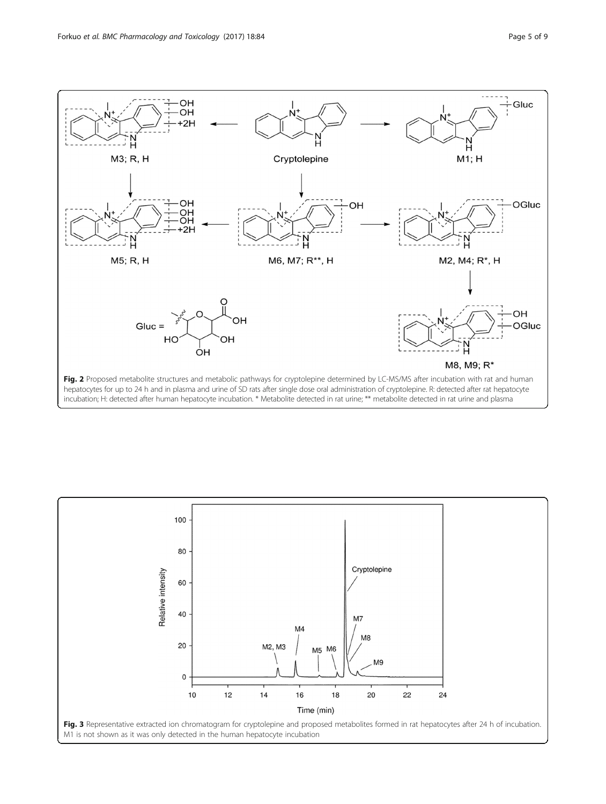<span id="page-4-0"></span>

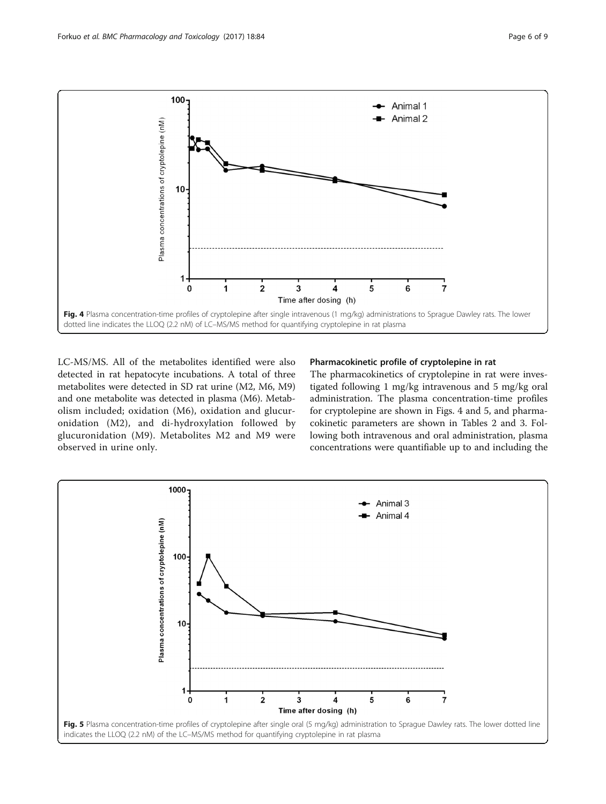<span id="page-5-0"></span>

LC-MS/MS. All of the metabolites identified were also detected in rat hepatocyte incubations. A total of three metabolites were detected in SD rat urine (M2, M6, M9) and one metabolite was detected in plasma (M6). Metabolism included; oxidation (M6), oxidation and glucuronidation (M2), and di-hydroxylation followed by glucuronidation (M9). Metabolites M2 and M9 were observed in urine only.

# Pharmacokinetic profile of cryptolepine in rat

The pharmacokinetics of cryptolepine in rat were investigated following 1 mg/kg intravenous and 5 mg/kg oral administration. The plasma concentration-time profiles for cryptolepine are shown in Figs. 4 and 5, and pharmacokinetic parameters are shown in Tables [2](#page-6-0) and [3](#page-6-0). Following both intravenous and oral administration, plasma concentrations were quantifiable up to and including the

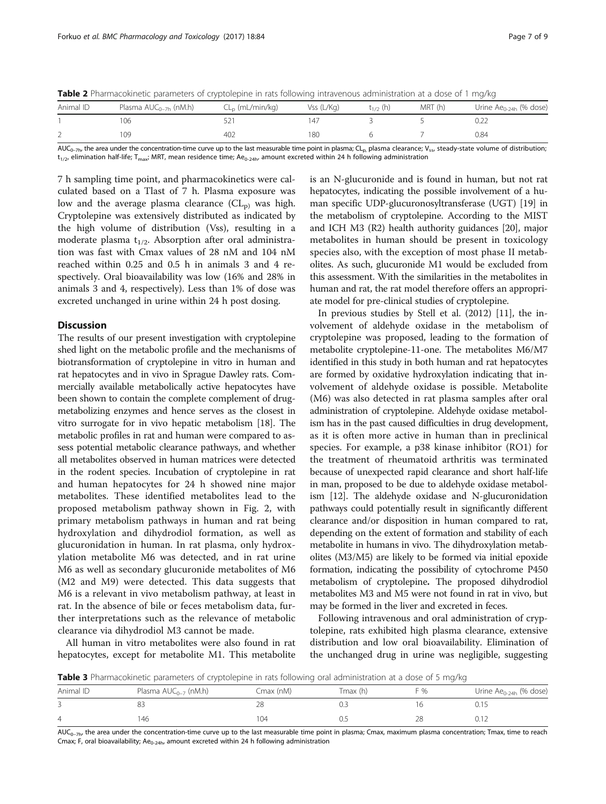<span id="page-6-0"></span>Table 2 Pharmacokinetic parameters of cryptolepine in rats following intravenous administration at a dose of 1 mg/kg

| Animal ID | Plasma $AUC_{0-7h}$ (nM.h) | CL <sub>p</sub> (mL/min/kg) | $Vss$ (L/Kg) | $t_{1/2}$ (h) | MRT (h) | Urine Ae <sub>0-24h</sub> (% dose) |
|-----------|----------------------------|-----------------------------|--------------|---------------|---------|------------------------------------|
|           | 106                        |                             |              |               |         |                                    |
| ∸         | 109                        | 402                         | 180          |               |         | 0.84                               |

 $AUC_{0-7hv}$  the area under the concentration-time curve up to the last measurable time point in plasma;  $CL_{p}$ , plasma clearance; V<sub>ss</sub>, steady-state volume of distribution;  $t_{1/2}$ , elimination half-life; T<sub>max</sub>; MRT, mean residence time; Ae<sub>0-24h</sub>, amount excreted within 24 h following administration

7 h sampling time point, and pharmacokinetics were calculated based on a Tlast of 7 h. Plasma exposure was low and the average plasma clearance  $(CL<sub>p</sub>)$  was high. Cryptolepine was extensively distributed as indicated by the high volume of distribution (Vss), resulting in a moderate plasma  $t_{1/2}$ . Absorption after oral administration was fast with Cmax values of 28 nM and 104 nM reached within 0.25 and 0.5 h in animals 3 and 4 respectively. Oral bioavailability was low (16% and 28% in animals 3 and 4, respectively). Less than 1% of dose was excreted unchanged in urine within 24 h post dosing.

# Discussion

The results of our present investigation with cryptolepine shed light on the metabolic profile and the mechanisms of biotransformation of cryptolepine in vitro in human and rat hepatocytes and in vivo in Sprague Dawley rats. Commercially available metabolically active hepatocytes have been shown to contain the complete complement of drugmetabolizing enzymes and hence serves as the closest in vitro surrogate for in vivo hepatic metabolism [[18](#page-8-0)]. The metabolic profiles in rat and human were compared to assess potential metabolic clearance pathways, and whether all metabolites observed in human matrices were detected in the rodent species. Incubation of cryptolepine in rat and human hepatocytes for 24 h showed nine major metabolites. These identified metabolites lead to the proposed metabolism pathway shown in Fig. [2,](#page-4-0) with primary metabolism pathways in human and rat being hydroxylation and dihydrodiol formation, as well as glucuronidation in human. In rat plasma, only hydroxylation metabolite M6 was detected, and in rat urine M6 as well as secondary glucuronide metabolites of M6 (M2 and M9) were detected. This data suggests that M6 is a relevant in vivo metabolism pathway, at least in rat. In the absence of bile or feces metabolism data, further interpretations such as the relevance of metabolic clearance via dihydrodiol M3 cannot be made.

All human in vitro metabolites were also found in rat hepatocytes, except for metabolite M1. This metabolite

is an N-glucuronide and is found in human, but not rat hepatocytes, indicating the possible involvement of a human specific UDP-glucuronosyltransferase (UGT) [\[19\]](#page-8-0) in the metabolism of cryptolepine. According to the MIST and ICH M3 (R2) health authority guidances [[20](#page-8-0)], major metabolites in human should be present in toxicology species also, with the exception of most phase II metabolites. As such, glucuronide M1 would be excluded from this assessment. With the similarities in the metabolites in human and rat, the rat model therefore offers an appropriate model for pre-clinical studies of cryptolepine.

In previous studies by Stell et al. (2012) [[11](#page-8-0)], the involvement of aldehyde oxidase in the metabolism of cryptolepine was proposed, leading to the formation of metabolite cryptolepine-11-one. The metabolites M6/M7 identified in this study in both human and rat hepatocytes are formed by oxidative hydroxylation indicating that involvement of aldehyde oxidase is possible. Metabolite (M6) was also detected in rat plasma samples after oral administration of cryptolepine. Aldehyde oxidase metabolism has in the past caused difficulties in drug development, as it is often more active in human than in preclinical species. For example, a p38 kinase inhibitor (RO1) for the treatment of rheumatoid arthritis was terminated because of unexpected rapid clearance and short half-life in man, proposed to be due to aldehyde oxidase metabolism [\[12\]](#page-8-0). The aldehyde oxidase and N-glucuronidation pathways could potentially result in significantly different clearance and/or disposition in human compared to rat, depending on the extent of formation and stability of each metabolite in humans in vivo. The dihydroxylation metabolites (M3/M5) are likely to be formed via initial epoxide formation, indicating the possibility of cytochrome P450 metabolism of cryptolepine. The proposed dihydrodiol metabolites M3 and M5 were not found in rat in vivo, but may be formed in the liver and excreted in feces.

Following intravenous and oral administration of cryptolepine, rats exhibited high plasma clearance, extensive distribution and low oral bioavailability. Elimination of the unchanged drug in urine was negligible, suggesting

**Table 3** Pharmacokinetic parameters of cryptolepine in rats following oral administration at a dose of 5 mg/kg

| Animal ID | Plasma $AUC_{0-7}$ (nM.h) | Cmax (nM) | Tmax (h) | F % | Urine Ae <sub>0-24h</sub> (% dose) |
|-----------|---------------------------|-----------|----------|-----|------------------------------------|
|           |                           |           |          |     |                                    |
| 4         | 146                       | ' 04      | ◡.◡      |     |                                    |

 $AUC_{0-7h}$ , the area under the concentration-time curve up to the last measurable time point in plasma; Cmax, maximum plasma concentration; Tmax, time to reach Cmax; F, oral bioavailability;  $Ae_{0-24h}$ , amount excreted within 24 h following administration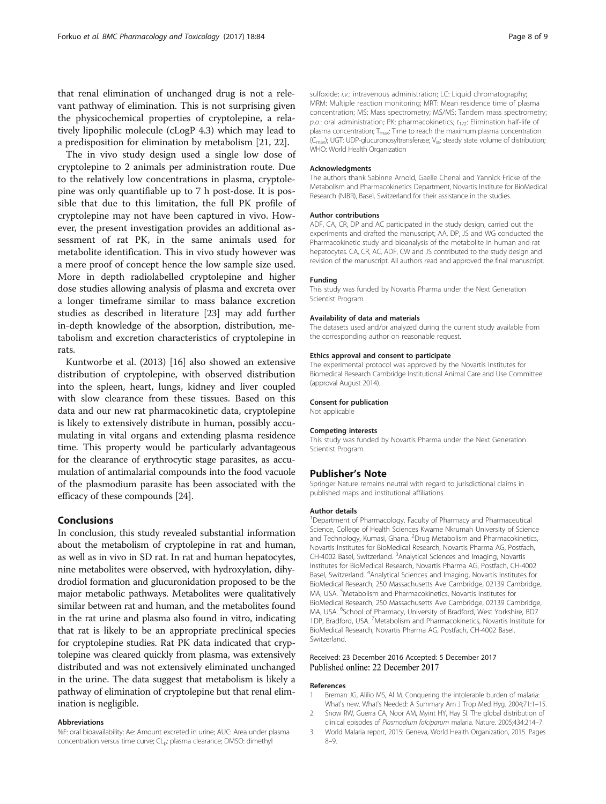<span id="page-7-0"></span>that renal elimination of unchanged drug is not a relevant pathway of elimination. This is not surprising given the physicochemical properties of cryptolepine, a relatively lipophilic molecule (cLogP 4.3) which may lead to a predisposition for elimination by metabolism [[21](#page-8-0), [22](#page-8-0)].

The in vivo study design used a single low dose of cryptolepine to 2 animals per administration route. Due to the relatively low concentrations in plasma, cryptolepine was only quantifiable up to 7 h post-dose. It is possible that due to this limitation, the full PK profile of cryptolepine may not have been captured in vivo. However, the present investigation provides an additional assessment of rat PK, in the same animals used for metabolite identification. This in vivo study however was a mere proof of concept hence the low sample size used. More in depth radiolabelled cryptolepine and higher dose studies allowing analysis of plasma and excreta over a longer timeframe similar to mass balance excretion studies as described in literature [\[23](#page-8-0)] may add further in-depth knowledge of the absorption, distribution, metabolism and excretion characteristics of cryptolepine in rats.

Kuntworbe et al. (2013) [[16\]](#page-8-0) also showed an extensive distribution of cryptolepine, with observed distribution into the spleen, heart, lungs, kidney and liver coupled with slow clearance from these tissues. Based on this data and our new rat pharmacokinetic data, cryptolepine is likely to extensively distribute in human, possibly accumulating in vital organs and extending plasma residence time. This property would be particularly advantageous for the clearance of erythrocytic stage parasites, as accumulation of antimalarial compounds into the food vacuole of the plasmodium parasite has been associated with the efficacy of these compounds [\[24\]](#page-8-0).

# Conclusions

In conclusion, this study revealed substantial information about the metabolism of cryptolepine in rat and human, as well as in vivo in SD rat. In rat and human hepatocytes, nine metabolites were observed, with hydroxylation, dihydrodiol formation and glucuronidation proposed to be the major metabolic pathways. Metabolites were qualitatively similar between rat and human, and the metabolites found in the rat urine and plasma also found in vitro, indicating that rat is likely to be an appropriate preclinical species for cryptolepine studies. Rat PK data indicated that cryptolepine was cleared quickly from plasma, was extensively distributed and was not extensively eliminated unchanged in the urine. The data suggest that metabolism is likely a pathway of elimination of cryptolepine but that renal elimination is negligible.

#### Abbreviations

%F: oral bioavailability; Ae: Amount excreted in urine; AUC: Area under plasma concentration versus time curve; CL<sub>p</sub>: plasma clearance; DMSO: dimethyl

sulfoxide; i.v.: intravenous administration; LC: Liquid chromatography; MRM: Multiple reaction monitoring; MRT: Mean residence time of plasma concentration; MS: Mass spectrometry; MS/MS: Tandem mass spectrometry; p.o.: oral administration; PK: pharmacokinetics;  $t_{1/2}$ : Elimination half-life of plasma concentration;  $T_{\text{max}}$ : Time to reach the maximum plasma concentration (C<sub>max</sub>); UGT: UDP-glucuronosyltransferase; V<sub>ss</sub>: steady state volume of distribution; WHO: World Health Organization

#### Acknowledgments

The authors thank Sabinne Arnold, Gaelle Chenal and Yannick Fricke of the Metabolism and Pharmacokinetics Department, Novartis Institute for BioMedical Research (NIBR), Basel, Switzerland for their assistance in the studies.

#### Author contributions

ADF, CA, CR, DP and AC participated in the study design, carried out the experiments and drafted the manuscript; AA, DP, JS and WG conducted the Pharmacokinetic study and bioanalysis of the metabolite in human and rat hepatocytes. CA, CR, AC, ADF, CW and JS contributed to the study design and revision of the manuscript. All authors read and approved the final manuscript.

#### Funding

This study was funded by Novartis Pharma under the Next Generation Scientist Program.

#### Availability of data and materials

The datasets used and/or analyzed during the current study available from the corresponding author on reasonable request.

#### Ethics approval and consent to participate

The experimental protocol was approved by the Novartis Institutes for Biomedical Research Cambridge Institutional Animal Care and Use Committee (approval August 2014).

#### Consent for publication

Not applicable

#### Competing interests

This study was funded by Novartis Pharma under the Next Generation Scientist Program.

#### Publisher's Note

Springer Nature remains neutral with regard to jurisdictional claims in published maps and institutional affiliations.

#### Author details

<sup>1</sup>Department of Pharmacology, Faculty of Pharmacy and Pharmaceutical Science, College of Health Sciences Kwame Nkrumah University of Science and Technology, Kumasi, Ghana. <sup>2</sup>Drug Metabolism and Pharmacokinetics Novartis Institutes for BioMedical Research, Novartis Pharma AG, Postfach, CH-4002 Basel, Switzerland. <sup>3</sup>Analytical Sciences and Imaging, Novartis Institutes for BioMedical Research, Novartis Pharma AG, Postfach, CH-4002 Basel, Switzerland. <sup>4</sup>Analytical Sciences and Imaging, Novartis Institutes for BioMedical Research, 250 Massachusetts Ave Cambridge, 02139 Cambridge, MA, USA. <sup>5</sup>Metabolism and Pharmacokinetics, Novartis Institutes for BioMedical Research, 250 Massachusetts Ave Cambridge, 02139 Cambridge, MA, USA. <sup>6</sup>School of Pharmacy, University of Bradford, West Yorkshire, BD7 1DP, Bradford, USA. <sup>7</sup>Metabolism and Pharmacokinetics, Novartis Institute for BioMedical Research, Novartis Pharma AG, Postfach, CH-4002 Basel, Switzerland.

#### Received: 23 December 2016 Accepted: 5 December 2017 Published online: 22 December 2017

#### References

- 1. Breman JG, Alilio MS, Al M. Conquering the intolerable burden of malaria: What's new. What's Needed: A Summary Am J Trop Med Hyg. 2004;71:1–15.
- 2. Snow RW, Guerra CA, Noor AM, Myint HY, Hay SI. The global distribution of clinical episodes of Plasmodium falciparum malaria. Nature. 2005;434:214–7.
- 3. World Malaria report, 2015: Geneva, World Health Organization, 2015. Pages 8–9.